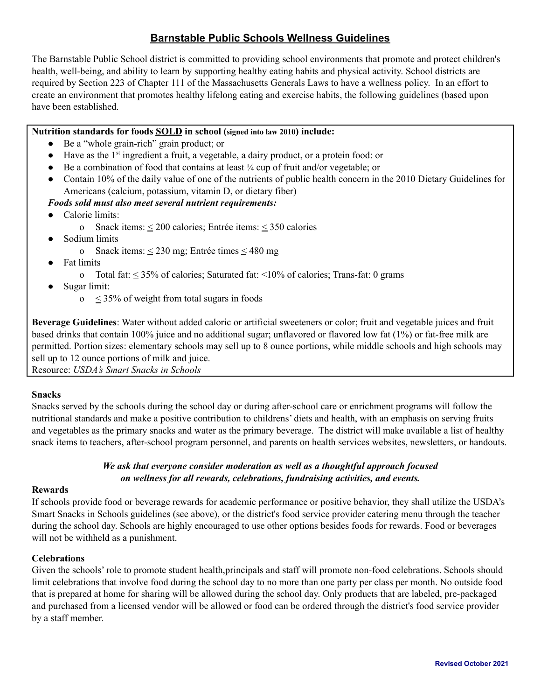# **Barnstable Public Schools Wellness Guidelines**

The Barnstable Public School district is committed to providing school environments that promote and protect children's health, well-being, and ability to learn by supporting healthy eating habits and physical activity. School districts are required by Section 223 of Chapter 111 of the Massachusetts Generals Laws to have a wellness policy. In an effort to create an environment that promotes healthy lifelong eating and exercise habits, the following guidelines (based upon have been established.

# **Nutrition standards for foods SOLD in school (signed into law 2010) include:**

- Be a "whole grain-rich" grain product; or
- Have as the 1<sup>st</sup> ingredient a fruit, a vegetable, a dairy product, or a protein food: or
- $\bullet$  Be a combination of food that contains at least  $\frac{1}{4}$  cup of fruit and/or vegetable; or
- Contain 10% of the daily value of one of the nutrients of public health concern in the 2010 Dietary Guidelines for Americans (calcium, potassium, vitamin D, or dietary fiber)
- *Foods sold must also meet several nutrient requirements:*
- Calorie limits:
	- o Snack items:  $\leq 200$  calories; Entrée items:  $\leq 350$  calories
- Sodium limits
	- o Snack items:  $\leq 230$  mg; Entrée times  $\leq 480$  mg
- **Fat limits** 
	- o Total fat: < 35% of calories; Saturated fat: <10% of calories; Trans-fat: 0 grams
- Sugar limit:
	- o < 35% of weight from total sugars in foods

**Beverage Guidelines**: Water without added caloric or artificial sweeteners or color; fruit and vegetable juices and fruit based drinks that contain 100% juice and no additional sugar; unflavored or flavored low fat (1%) or fat-free milk are permitted. Portion sizes: elementary schools may sell up to 8 ounce portions, while middle schools and high schools may sell up to 12 ounce portions of milk and juice.

Resource: *USDA's Smart Snacks in Schools*

# **Snacks**

Snacks served by the schools during the school day or during after-school care or enrichment programs will follow the nutritional standards and make a positive contribution to childrens' diets and health, with an emphasis on serving fruits and vegetables as the primary snacks and water as the primary beverage. The district will make available a list of healthy snack items to teachers, after-school program personnel, and parents on health services websites, newsletters, or handouts.

# *We ask that everyone consider moderation as well as a thoughtful approach focused on wellness for all rewards, celebrations, fundraising activities, and events.*

### **Rewards**

If schools provide food or beverage rewards for academic performance or positive behavior, they shall utilize the USDA's Smart Snacks in Schools guidelines (see above), or the district's food service provider catering menu through the teacher during the school day. Schools are highly encouraged to use other options besides foods for rewards. Food or beverages will not be withheld as a punishment.

# **Celebrations**

Given the schools' role to promote student health,principals and staff will promote non-food celebrations. Schools should limit celebrations that involve food during the school day to no more than one party per class per month. No outside food that is prepared at home for sharing will be allowed during the school day. Only products that are labeled, pre-packaged and purchased from a licensed vendor will be allowed or food can be ordered through the district's food service provider by a staff member.